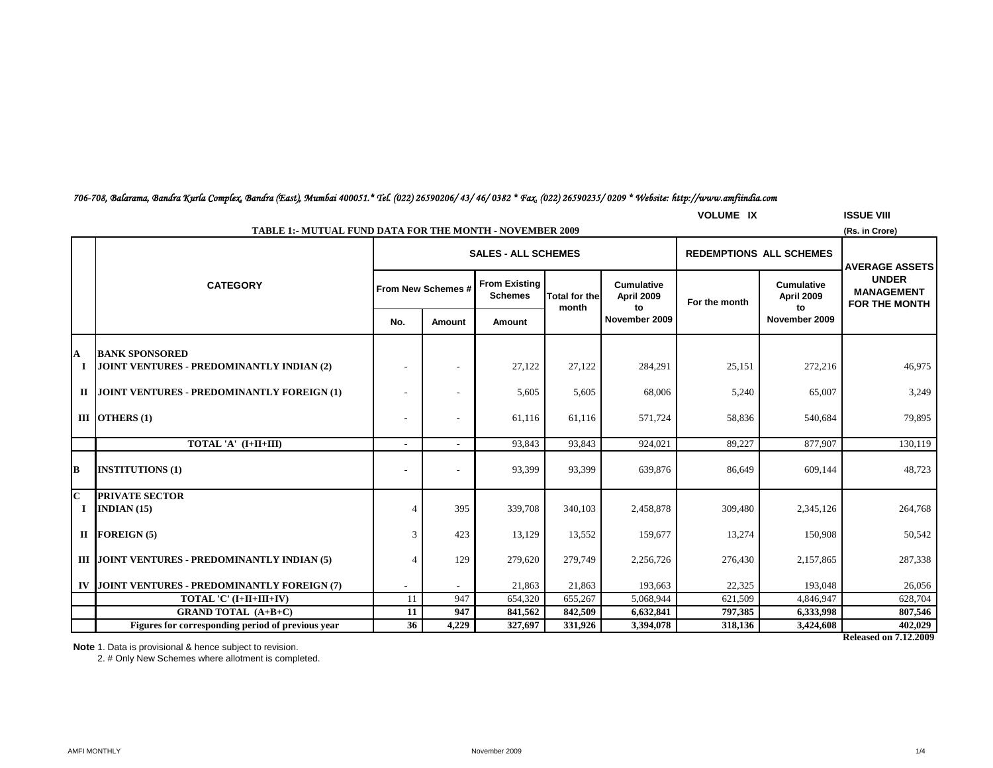## *706-708, Balarama, Bandra Kurla Complex, Bandra (East), Mumbai 400051.\* Tel. (022) 26590206/ 43/ 46/ 0382 \* Fax. (022) 26590235/ 0209 \* Website: http://www.amfiindia.com*

|                          | <b>ISSUE VIII</b><br><b>VOLUME IX</b>                                     |                    |                          |                                        |                       |                                 |                                |                                        |                                                           |  |
|--------------------------|---------------------------------------------------------------------------|--------------------|--------------------------|----------------------------------------|-----------------------|---------------------------------|--------------------------------|----------------------------------------|-----------------------------------------------------------|--|
|                          | <b>TABLE 1:- MUTUAL FUND DATA FOR THE MONTH - NOVEMBER 2009</b>           |                    |                          |                                        |                       |                                 |                                |                                        | (Rs. in Crore)                                            |  |
|                          |                                                                           |                    |                          | <b>SALES - ALL SCHEMES</b>             |                       |                                 | <b>REDEMPTIONS ALL SCHEMES</b> |                                        | <b>AVERAGE ASSETS</b>                                     |  |
|                          | <b>CATEGORY</b>                                                           | From New Schemes # |                          | <b>From Existing</b><br><b>Schemes</b> | <b>Total for thel</b> | <b>Cumulative</b><br>April 2009 | For the month                  | <b>Cumulative</b><br><b>April 2009</b> | <b>UNDER</b><br><b>MANAGEMENT</b><br><b>FOR THE MONTH</b> |  |
|                          |                                                                           | No.                | Amount                   | Amount                                 | month                 | to<br>November 2009             |                                | to<br>November 2009                    |                                                           |  |
| A<br>1                   | <b>BANK SPONSORED</b><br><b>JOINT VENTURES - PREDOMINANTLY INDIAN (2)</b> |                    |                          | 27,122                                 | 27,122                | 284,291                         | 25,151                         | 272,216                                | 46,975                                                    |  |
|                          | II JOINT VENTURES - PREDOMINANTLY FOREIGN (1)                             |                    | $\overline{\phantom{a}}$ | 5,605                                  | 5,605                 | 68,006                          | 5,240                          | 65,007                                 | 3.249                                                     |  |
|                          | III OTHERS $(1)$                                                          |                    | $\overline{\phantom{a}}$ | 61,116                                 | 61,116                | 571,724                         | 58,836                         | 540,684                                | 79,895                                                    |  |
|                          | TOTAL 'A' (I+II+III)                                                      |                    |                          | 93,843                                 | 93,843                | 924,021                         | 89,227                         | 877,907                                | 130,119                                                   |  |
| В                        | <b>INSTITUTIONS (1)</b>                                                   |                    | $\overline{\phantom{a}}$ | 93,399                                 | 93,399                | 639,876                         | 86,649                         | 609,144                                | 48,723                                                    |  |
| $\mathbf{C}$<br>$\bf{I}$ | <b>PRIVATE SECTOR</b><br>INDIAN $(15)$                                    | $\overline{4}$     | 395                      | 339,708                                | 340,103               | 2,458,878                       | 309,480                        | 2,345,126                              | 264,768                                                   |  |
|                          | II FOREIGN $(5)$                                                          | 3                  | 423                      | 13,129                                 | 13,552                | 159,677                         | 13,274                         | 150,908                                | 50,542                                                    |  |
|                          | III JOINT VENTURES - PREDOMINANTLY INDIAN (5)                             |                    | 129                      | 279,620                                | 279,749               | 2,256,726                       | 276,430                        | 2,157,865                              | 287,338                                                   |  |
|                          | IV JOINT VENTURES - PREDOMINANTLY FOREIGN (7)                             |                    | $\overline{\phantom{a}}$ | 21,863                                 | 21,863                | 193,663                         | 22,325                         | 193,048                                | 26,056                                                    |  |
|                          | TOTAL 'C' (I+II+III+IV)                                                   | 11                 | 947                      | 654,320                                | 655,267               | 5,068,944                       | 621,509                        | 4,846,947                              | 628,704                                                   |  |
|                          | <b>GRAND TOTAL (A+B+C)</b>                                                | 11                 | 947                      | 841,562                                | 842,509               | 6,632,841                       | 797,385                        | 6,333,998                              | 807,546                                                   |  |
|                          | Figures for corresponding period of previous year                         | 36                 | 4,229                    | 327,697                                | 331,926               | 3,394,078                       | 318,136                        | 3,424,608                              | 402,029                                                   |  |

**Released on 7.12.2009**

**Note** 1. Data is provisional & hence subject to revision.

2. # Only New Schemes where allotment is completed.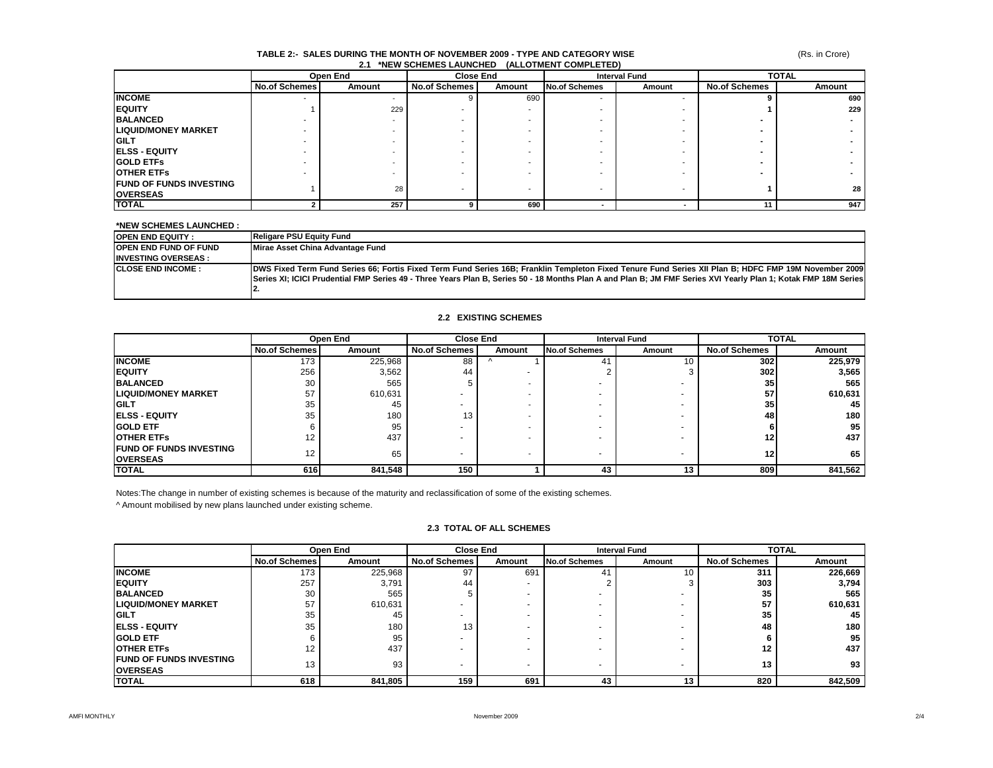#### (Rs. in Crore)

#### **TABLE 2:- SALES DURING THE MONTH OF NOVEMBER 2009 - TYPE AND CATEGORY WISE 2.1 \*NEW SCHEMES LAUNCHED (ALLOTMENT COMPLETED)**

|                                |                      | Open End | <b>Close End</b>     |        | <b>Interval Fund</b> |        | <b>TOTAL</b>         |        |
|--------------------------------|----------------------|----------|----------------------|--------|----------------------|--------|----------------------|--------|
|                                | <b>No.of Schemes</b> | Amount   | <b>No.of Schemes</b> | Amount | <b>No.of Schemes</b> | Amount | <b>No.of Schemes</b> | Amount |
| <b>INCOME</b>                  |                      |          |                      | 690    |                      |        |                      | 690    |
| <b>EQUITY</b>                  |                      | 229      |                      |        |                      |        |                      | 229    |
| <b>BALANCED</b>                |                      |          |                      |        |                      |        |                      |        |
| <b>LIQUID/MONEY MARKET</b>     |                      |          |                      |        |                      |        |                      |        |
| <b>IGILT</b>                   |                      |          |                      |        |                      |        |                      |        |
| <b>IELSS - EQUITY</b>          |                      |          |                      |        |                      |        |                      |        |
| <b>IGOLD ETFS</b>              |                      |          |                      |        |                      |        |                      |        |
| <b>IOTHER ETFS</b>             |                      |          |                      |        |                      |        |                      |        |
| <b>FUND OF FUNDS INVESTING</b> |                      | 28       |                      |        |                      |        |                      |        |
| <b>OVERSEAS</b>                |                      |          |                      |        |                      | -      |                      | 28     |
| <b>TOTAL</b>                   |                      | 257      |                      | 690    |                      |        |                      | 947    |

#### **\*NEW SCHEMES LAUNCHED :**

| <b>OPEN END EQUITY:</b>       | Religare PSU Equity Fund                                                                                                                                       |
|-------------------------------|----------------------------------------------------------------------------------------------------------------------------------------------------------------|
| <b>IOPEN END FUND OF FUND</b> | Mirae Asset China Advantage Fund                                                                                                                               |
| <b>INVESTING OVERSEAS:</b>    |                                                                                                                                                                |
| <b>ICLOSE END INCOME:</b>     | [DWS Fixed Term Fund Series 66; Fortis Fixed Term Fund Series 16B; Franklin Templeton Fixed Tenure Fund Series XII Plan B; HDFC FMP 19M November 2009          |
|                               | Series XI; ICICI Prudential FMP Series 49 - Three Years Plan B, Series 50 - 18 Months Plan A and Plan B; JM FMF Series XVI Yearly Plan 1; Kotak FMP 18M Series |
|                               |                                                                                                                                                                |
|                               |                                                                                                                                                                |

#### **2.2 EXISTING SCHEMES**

|                                                    |                      | Open End | <b>Close End</b>     |                          | <b>Interval Fund</b> |                          | <b>TOTAL</b>         |         |
|----------------------------------------------------|----------------------|----------|----------------------|--------------------------|----------------------|--------------------------|----------------------|---------|
|                                                    | <b>No.of Schemes</b> | Amount   | <b>No.of Schemes</b> | Amount                   | <b>No.of Schemes</b> | Amount                   | <b>No.of Schemes</b> | Amount  |
| <b>INCOME</b>                                      | 173                  | 225,968  | 88                   |                          | 41                   | 10                       | 302                  | 225,979 |
| <b>IEQUITY</b>                                     | 256                  | 3,562    | 44                   |                          |                      |                          | 302                  | 3,565   |
| <b>BALANCED</b>                                    | 30                   | 565      |                      | -                        |                      |                          | 35 <sub>1</sub>      | 565     |
| <b>LIQUID/MONEY MARKET</b>                         | 57                   | 610,631  |                      | $\overline{\phantom{a}}$ |                      |                          | 57                   | 610,631 |
| <b>GILT</b>                                        | 35                   | 45       |                      |                          |                      |                          | 35 <sub>1</sub>      | 45      |
| <b>IELSS - EQUITY</b>                              | 35                   | 180      | 13                   | -                        |                      |                          | 48                   | 180     |
| <b>IGOLD ETF</b>                                   |                      | 95       |                      | -                        |                      |                          |                      | 95      |
| <b>OTHER ETFS</b>                                  | 12                   | 437      |                      | -                        |                      |                          | 12                   | 437     |
| <b>IFUND OF FUNDS INVESTING</b><br><b>OVERSEAS</b> | 12                   | 65       |                      | -                        |                      | $\overline{\phantom{a}}$ | 12                   | 65      |
| <b>ITOTAL</b>                                      | 616                  | 841,548  | 150                  |                          | 43                   | 13                       | 809                  | 841,562 |

Notes:The change in number of existing schemes is because of the maturity and reclassification of some of the existing schemes.

^ Amount mobilised by new plans launched under existing scheme.

#### **2.3 TOTAL OF ALL SCHEMES**

|                                                    |                      | Open End | <b>Close End</b>     |        | <b>Interval Fund</b> |        | <b>TOTAL</b>         |         |
|----------------------------------------------------|----------------------|----------|----------------------|--------|----------------------|--------|----------------------|---------|
|                                                    | <b>No.of Schemes</b> | Amount   | <b>No.of Schemes</b> | Amount | No.of Schemes        | Amount | <b>No.of Schemes</b> | Amount  |
| <b>INCOME</b>                                      | 173                  | 225,968  | 97                   | 691    | 41                   | 10     | 311                  | 226,669 |
| <b>IEQUITY</b>                                     | 257                  | 3,791    | 44                   |        |                      |        | 303                  | 3,794   |
| <b>BALANCED</b>                                    | 30                   | 565      |                      |        |                      |        | 35                   | 565     |
| <b>LIQUID/MONEY MARKET</b>                         | 57                   | 610,631  |                      |        |                      |        | 57                   | 610,631 |
| <b>GILT</b>                                        | 35                   | 45       |                      |        |                      |        | 35                   | 45      |
| <b>ELSS - EQUITY</b>                               | 35                   | 180      | 13                   |        |                      |        | 48                   | 180     |
| <b>GOLD ETF</b>                                    |                      | 95       |                      |        |                      |        |                      | 95      |
| <b>OTHER ETFS</b>                                  |                      | 437      |                      |        |                      |        | 12                   | 437     |
| <b>IFUND OF FUNDS INVESTING</b><br><b>OVERSEAS</b> | 13                   | 93       |                      |        |                      | $\sim$ | 13                   | 93      |
| <b>TOTAL</b>                                       | 618                  | 841,805  | 159                  | 691    | 43                   | 13     | 820                  | 842,509 |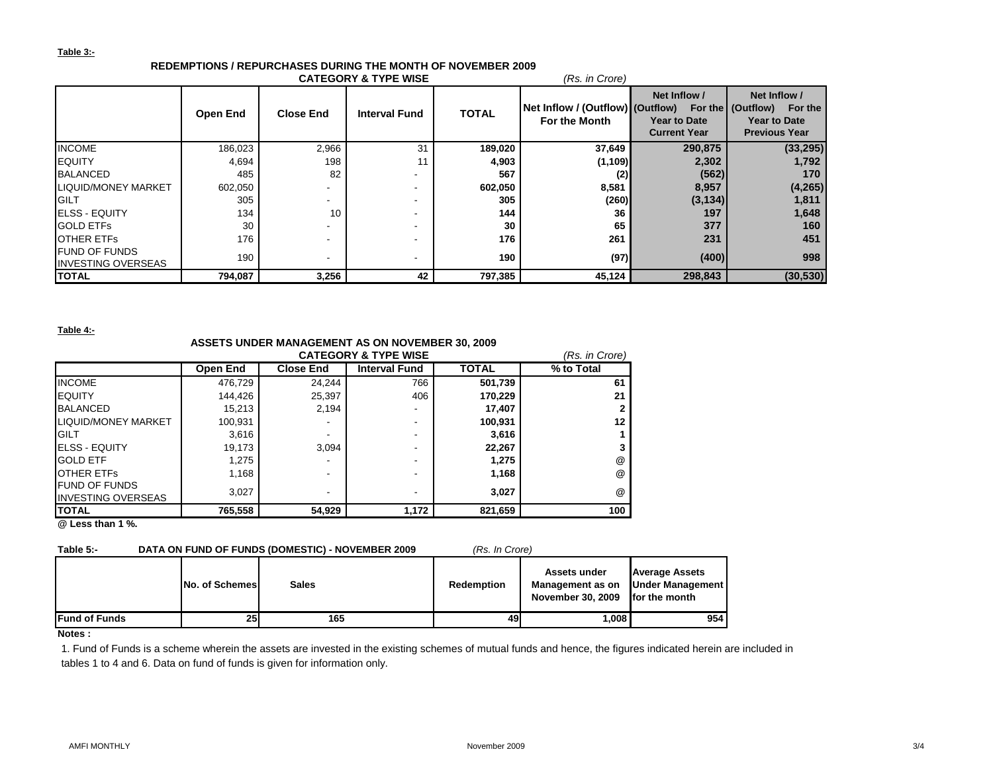#### **Table 3:-**

# **REDEMPTIONS / REPURCHASES DURING THE MONTH OF NOVEMBER 2009**

| <b>CATEGORY &amp; TYPE WISE</b><br>(Rs. in Crore)  |                 |                          |                      |              |                                                   |                                                            |                                                                                             |  |  |
|----------------------------------------------------|-----------------|--------------------------|----------------------|--------------|---------------------------------------------------|------------------------------------------------------------|---------------------------------------------------------------------------------------------|--|--|
|                                                    | <b>Open End</b> | <b>Close End</b>         | <b>Interval Fund</b> | <b>TOTAL</b> | Net Inflow / (Outflow) (Outflow)<br>For the Month | Net Inflow /<br><b>Year to Date</b><br><b>Current Year</b> | Net Inflow /<br>For the (Outflow)<br>For the<br><b>Year to Date</b><br><b>Previous Year</b> |  |  |
| <b>INCOME</b>                                      | 186,023         | 2,966                    | 31                   | 189,020      | 37,649                                            | 290,875                                                    | (33, 295)                                                                                   |  |  |
| <b>IEQUITY</b>                                     | 4,694           | 198                      | 11                   | 4,903        | (1,109)                                           | 2,302                                                      | 1,792                                                                                       |  |  |
| <b>BALANCED</b>                                    | 485             | 82                       |                      | 567          | (2)                                               | (562)                                                      | 170                                                                                         |  |  |
| <b>LIQUID/MONEY MARKET</b>                         | 602,050         |                          |                      | 602,050      | 8,581                                             | 8,957                                                      | (4,265)                                                                                     |  |  |
| <b>GILT</b>                                        | 305             | $\overline{\phantom{a}}$ |                      | 305          | (260)                                             | (3, 134)                                                   | 1,811                                                                                       |  |  |
| <b>ELSS - EQUITY</b>                               | 134             | 10                       |                      | 144          | 36                                                | 197                                                        | 1,648                                                                                       |  |  |
| <b>GOLD ETFS</b>                                   | 30              |                          |                      | 30           | 65                                                | 377                                                        | 160                                                                                         |  |  |
| <b>OTHER ETFS</b>                                  | 176             |                          |                      | 176          | 261                                               | 231                                                        | 451                                                                                         |  |  |
| <b>IFUND OF FUNDS</b><br><b>INVESTING OVERSEAS</b> | 190             |                          |                      | 190          | (97)                                              | (400)                                                      | 998                                                                                         |  |  |
| <b>TOTAL</b>                                       | 794,087         | 3,256                    | 42                   | 797,385      | 45,124                                            | 298,843                                                    | (30, 530)                                                                                   |  |  |

#### **Table 4:-**

### **ASSETS UNDER MANAGEMENT AS ON NOVEMBER 30, 2009**

|                                                    | (Rs. in Crore) |                  |                          |              |                      |
|----------------------------------------------------|----------------|------------------|--------------------------|--------------|----------------------|
|                                                    | Open End       | <b>Close End</b> | <b>Interval Fund</b>     | <b>TOTAL</b> | % to Total           |
| <b>INCOME</b>                                      | 476,729        | 24.244           | 766                      | 501,739      | 61                   |
| <b>EQUITY</b>                                      | 144,426        | 25,397           | 406                      | 170.229      | 21                   |
| <b>BALANCED</b>                                    | 15,213         | 2.194            | $\overline{\phantom{a}}$ | 17.407       |                      |
| <b>LIQUID/MONEY MARKET</b>                         | 100,931        |                  | $\overline{\phantom{a}}$ | 100,931      | 12                   |
| <b>GILT</b>                                        | 3,616          |                  | $\overline{\phantom{a}}$ | 3.616        |                      |
| <b>IELSS - EQUITY</b>                              | 19,173         | 3.094            | $\overline{\phantom{a}}$ | 22,267       |                      |
| <b>GOLD ETF</b>                                    | 1,275          |                  | $\overline{\phantom{a}}$ | 1.275        | @                    |
| <b>OTHER ETFS</b>                                  | 1,168          |                  | $\overline{\phantom{a}}$ | 1,168        | $^{\textregistered}$ |
| <b>IFUND OF FUNDS</b><br><b>INVESTING OVERSEAS</b> | 3,027          |                  | $\overline{\phantom{a}}$ | 3,027        | $\omega$             |
| <b>TOTAL</b>                                       | 765,558        | 54,929           | 1,172                    | 821,659      | 100                  |

**@ Less than 1 %.**

| Table 5:-             |                       | DATA ON FUND OF FUNDS (DOMESTIC) - NOVEMBER 2009 | (Rs. In Crore)    |                                                       |                                                                            |
|-----------------------|-----------------------|--------------------------------------------------|-------------------|-------------------------------------------------------|----------------------------------------------------------------------------|
|                       | <b>No. of Schemes</b> | <b>Sales</b>                                     | <b>Redemption</b> | Assets under<br>Management as on<br>November 30, 2009 | <b>Average Assets</b><br><b>Under Management  </b><br><b>for the month</b> |
| <b>IFund of Funds</b> | 251                   | 165                                              | 49                | 1.008                                                 | 954                                                                        |

#### **Notes :**

1. Fund of Funds is a scheme wherein the assets are invested in the existing schemes of mutual funds and hence, the figures indicated herein are included in tables 1 to 4 and 6. Data on fund of funds is given for information only.